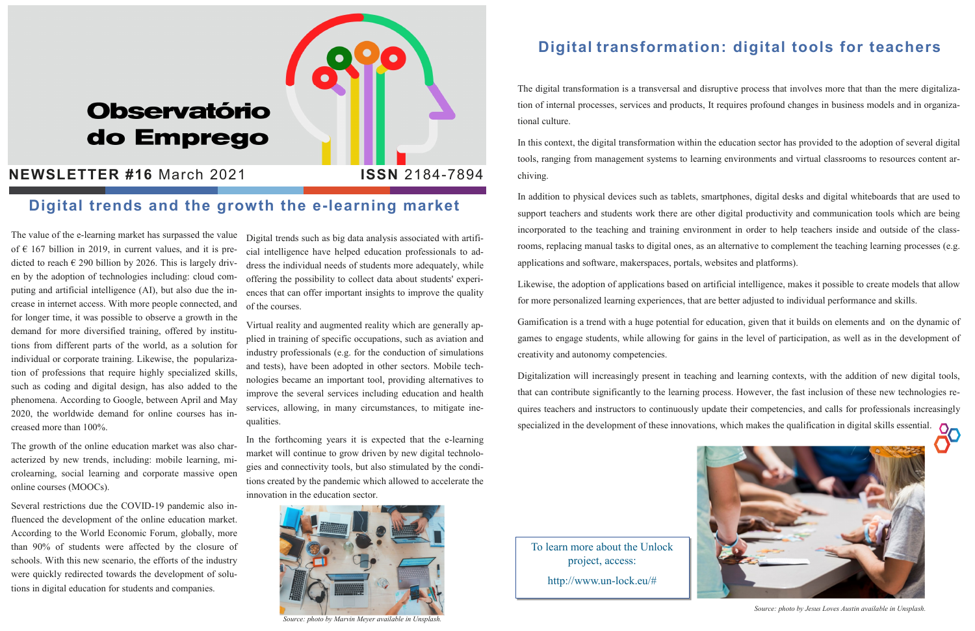# **Observatório** do Emprego

## **NEWSLETTER #16 March 2021 | ISSN 2184-7894**

The value of the e-learning market has surpassed the value of  $€ 167$  billion in 2019, in current values, and it is predicted to reach  $\epsilon$  290 billion by 2026. This is largely driven by the adoption of technologies including: cloud computing and artificial intelligence (AI), but also due the increase in internet access. With more people connected, and for longer time, it was possible to observe a growth in the demand for more diversified training, offered by institutions from different parts of the world, as a solution for individual or corporate training. Likewise, the popularization of professions that require highly specialized skills, such as coding and digital design, has also added to the phenomena. According to Google, between April and May 2020, the worldwide demand for online courses has increased more than 100%.

The growth of the online education market was also characterized by new trends, including: mobile learning, microlearning, social learning and corporate massive open online courses (MOOCs).

Several restrictions due the COVID-19 pandemic also influenced the development of the online education market. According to the World Economic Forum, globally, more than 90% of students were affected by the closure of schools. With this new scenario, the efforts of the industry were quickly redirected towards the development of solutions in digital education for students and companies.

Digital trends such as big data analysis associated with artificial intelligence have helped education professionals to address the individual needs of students more adequately, while offering the possibility to collect data about students' experiences that can offer important insights to improve the quality of the courses.

Virtual reality and augmented reality which are generally applied in training of specific occupations, such as aviation and industry professionals (e.g. for the conduction of simulations and tests), have been adopted in other sectors. Mobile technologies became an important tool, providing alternatives to improve the several services including education and health services, allowing, in many circumstances, to mitigate inequalities.

In the forthcoming years it is expected that the e-learning market will continue to grow driven by new digital technologies and connectivity tools, but also stimulated by the conditions created by the pandemic which allowed to accelerate the innovation in the education sector.

### Digital transformation: digital tools for teachers

The digital transformation is a transversal and disruptive process that involves more that than the mere digitalization of internal processes, services and products, It requires profound changes in business models and in organizational culture.

In this context, the digital transformation within the education sector has provided to the adoption of several digital tools, ranging from management systems to learning environments and virtual classrooms to resources content archiving.

In addition to physical devices such as tablets, smartphones, digital desks and digital whiteboards that are used to support teachers and students work there are other digital productivity and communication tools which are being incorporated to the teaching and training environment in order to help teachers inside and outside of the classrooms, replacing manual tasks to digital ones, as an alternative to complement the teaching learning processes (e.g. applications and software, makerspaces, portals, websites and platforms).

Likewise, the adoption of applications based on artificial intelligence, makes it possible to create models that allow for more personalized learning experiences, that are better adjusted to individual performance and skills.

Gamification is a trend with a huge potential for education, given that it builds on elements and on the dynamic of games to engage students, while allowing for gains in the level of participation, as well as in the development of creativity and autonomy competencies.

Digitalization will increasingly present in teaching and learning contexts, with the addition of new digital tools, that can contribute significantly to the learning process. However, the fast inclusion of these new technologies requires teachers and instructors to continuously update their competencies, and calls for professionals increasingly specialized in the development of these innovations, which makes the qualification in digital skills essential.



### Digital trends and the growth the e-learning market

Source: photo by Jesus Loves Austin available in Unsplash.

To learn more about the Unlock project, access: http://www.un-lock.eu/#



Source: photo by Marvin Meyer available in Unsplash.